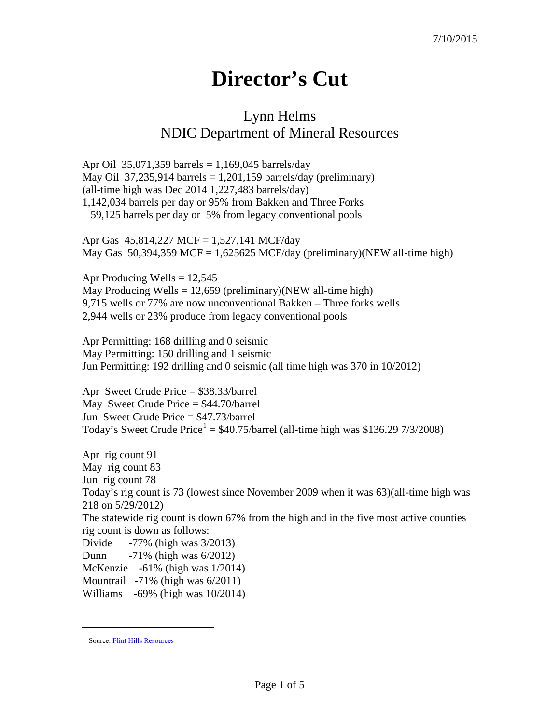## **Director's Cut**

## Lynn Helms NDIC Department of Mineral Resources

Apr Oil 35,071,359 barrels =  $1,169,045$  barrels/day May Oil 37,235,914 barrels = 1,201,159 barrels/day (preliminary) (all-time high was Dec 2014 1,227,483 barrels/day) 1,142,034 barrels per day or 95% from Bakken and Three Forks 59,125 barrels per day or 5% from legacy conventional pools

Apr Gas 45,814,227 MCF = 1,527,141 MCF/day May Gas  $50,394,359$  MCF = 1,625625 MCF/day (preliminary)(NEW all-time high)

Apr Producing Wells  $= 12,545$ May Producing Wells =  $12,659$  (preliminary)(NEW all-time high) 9,715 wells or 77% are now unconventional Bakken – Three forks wells 2,944 wells or 23% produce from legacy conventional pools

Apr Permitting: 168 drilling and 0 seismic May Permitting: 150 drilling and 1 seismic Jun Permitting: 192 drilling and 0 seismic (all time high was 370 in 10/2012)

Apr Sweet Crude Price = \$38.33/barrel May Sweet Crude Price = \$44.70/barrel Jun Sweet Crude Price = \$47.73/barrel Today's Sweet Crude Price<sup>[1](#page-0-0)</sup> =  $$40.75/b$ arrel (all-time high was \$136.29 7/3/2008)

Apr rig count 91 May rig count 83 Jun rig count 78 Today's rig count is 73 (lowest since November 2009 when it was 63)(all-time high was 218 on 5/29/2012) The statewide rig count is down 67% from the high and in the five most active counties rig count is down as follows: Divide -77% (high was 3/2013) Dunn -71% (high was 6/2012) McKenzie -61% (high was 1/2014) Mountrail -71% (high was 6/2011) Williams -69% (high was 10/2014)

<span id="page-0-0"></span> $\frac{1}{1}$ Source[: Flint Hills Resources](http://www.fhr.com/refining/bulletins.aspx?AspxAutoDetectCookieSupport=1)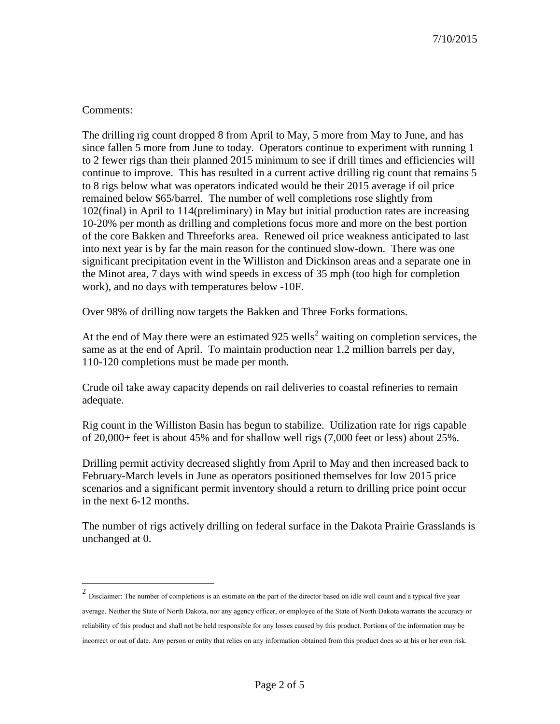## Comments:

The drilling rig count dropped 8 from April to May, 5 more from May to June, and has since fallen 5 more from June to today. Operators continue to experiment with running 1 to 2 fewer rigs than their planned 2015 minimum to see if drill times and efficiencies will continue to improve. This has resulted in a current active drilling rig count that remains 5 to 8 rigs below what was operators indicated would be their 2015 average if oil price remained below \$65/barrel. The number of well completions rose slightly from 102(final) in April to 114(preliminary) in May but initial production rates are increasing 10-20% per month as drilling and completions focus more and more on the best portion of the core Bakken and Threeforks area. Renewed oil price weakness anticipated to last into next year is by far the main reason for the continued slow-down. There was one significant precipitation event in the Williston and Dickinson areas and a separate one in the Minot area, 7 days with wind speeds in excess of 35 mph (too high for completion work), and no days with temperatures below -10F.

Over 98% of drilling now targets the Bakken and Three Forks formations.

At the end of May there were an estimated  $925$  $925$  $925$  wells<sup>2</sup> waiting on completion services, the same as at the end of April. To maintain production near 1.2 million barrels per day, 110-120 completions must be made per month.

Crude oil take away capacity depends on rail deliveries to coastal refineries to remain adequate.

Rig count in the Williston Basin has begun to stabilize. Utilization rate for rigs capable of 20,000+ feet is about 45% and for shallow well rigs (7,000 feet or less) about 25%.

Drilling permit activity decreased slightly from April to May and then increased back to February-March levels in June as operators positioned themselves for low 2015 price scenarios and a significant permit inventory should a return to drilling price point occur in the next 6-12 months.

The number of rigs actively drilling on federal surface in the Dakota Prairie Grasslands is unchanged at 0.

<span id="page-1-0"></span> <sup>2</sup> Disclaimer: The number of completions is an estimate on the part of the director based on idle well count and a typical five year average. Neither the State of North Dakota, nor any agency officer, or employee of the State of North Dakota warrants the accuracy or reliability of this product and shall not be held responsible for any losses caused by this product. Portions of the information may be incorrect or out of date. Any person or entity that relies on any information obtained from this product does so at his or her own risk.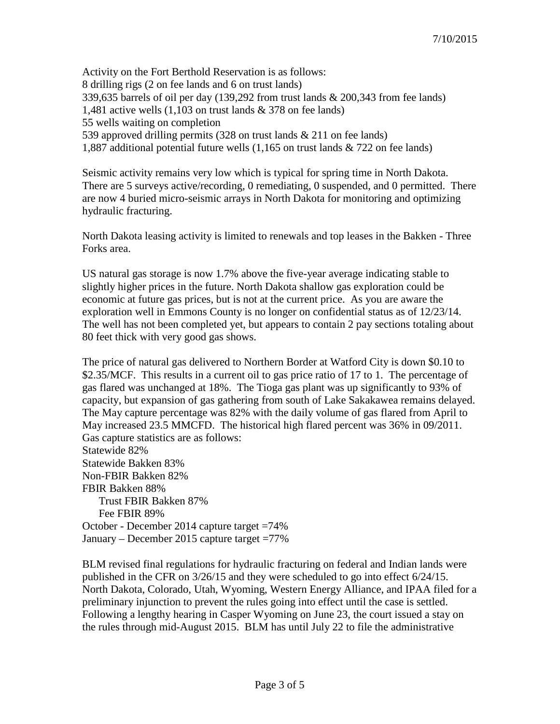Activity on the Fort Berthold Reservation is as follows: 8 drilling rigs (2 on fee lands and 6 on trust lands) 339,635 barrels of oil per day (139,292 from trust lands & 200,343 from fee lands) 1,481 active wells (1,103 on trust lands & 378 on fee lands) 55 wells waiting on completion 539 approved drilling permits (328 on trust lands & 211 on fee lands) 1,887 additional potential future wells (1,165 on trust lands & 722 on fee lands)

Seismic activity remains very low which is typical for spring time in North Dakota. There are 5 surveys active/recording, 0 remediating, 0 suspended, and 0 permitted. There are now 4 buried micro-seismic arrays in North Dakota for monitoring and optimizing hydraulic fracturing.

North Dakota leasing activity is limited to renewals and top leases in the Bakken - Three Forks area.

US natural gas storage is now 1.7% above the five-year average indicating stable to slightly higher prices in the future. North Dakota shallow gas exploration could be economic at future gas prices, but is not at the current price. As you are aware the exploration well in Emmons County is no longer on confidential status as of 12/23/14. The well has not been completed yet, but appears to contain 2 pay sections totaling about 80 feet thick with very good gas shows.

The price of natural gas delivered to Northern Border at Watford City is down \$0.10 to \$2.35/MCF. This results in a current oil to gas price ratio of 17 to 1. The percentage of gas flared was unchanged at 18%. The Tioga gas plant was up significantly to 93% of capacity, but expansion of gas gathering from south of Lake Sakakawea remains delayed. The May capture percentage was 82% with the daily volume of gas flared from April to May increased 23.5 MMCFD. The historical high flared percent was 36% in 09/2011. Gas capture statistics are as follows: Statewide 82% Statewide Bakken 83% Non-FBIR Bakken 82% FBIR Bakken 88% Trust FBIR Bakken 87% Fee FBIR 89% October - December 2014 capture target =74%

January – December 2015 capture target =77%

BLM revised final regulations for hydraulic fracturing on federal and Indian lands were published in the CFR on 3/26/15 and they were scheduled to go into effect 6/24/15. North Dakota, Colorado, Utah, Wyoming, Western Energy Alliance, and IPAA filed for a preliminary injunction to prevent the rules going into effect until the case is settled. Following a lengthy hearing in Casper Wyoming on June 23, the court issued a stay on the rules through mid-August 2015. BLM has until July 22 to file the administrative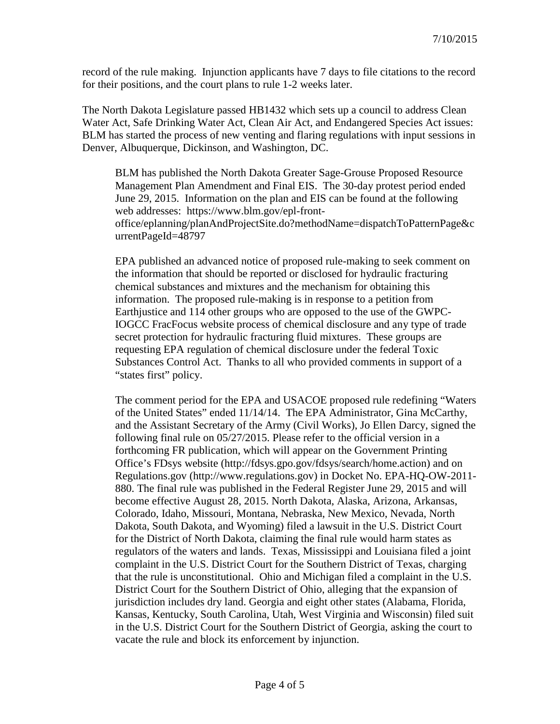record of the rule making. Injunction applicants have 7 days to file citations to the record for their positions, and the court plans to rule 1-2 weeks later.

The North Dakota Legislature passed HB1432 which sets up a council to address Clean Water Act, Safe Drinking Water Act, Clean Air Act, and Endangered Species Act issues: BLM has started the process of new venting and flaring regulations with input sessions in Denver, Albuquerque, Dickinson, and Washington, DC.

BLM has published the North Dakota Greater Sage-Grouse Proposed Resource Management Plan Amendment and Final EIS. The 30-day protest period ended June 29, 2015. Information on the plan and EIS can be found at the following web addresses: https://www.blm.gov/epl-frontoffice/eplanning/planAndProjectSite.do?methodName=dispatchToPatternPage&c urrentPageId=48797

EPA published an advanced notice of proposed rule-making to seek comment on the information that should be reported or disclosed for hydraulic fracturing chemical substances and mixtures and the mechanism for obtaining this information. The proposed rule-making is in response to a petition from Earthjustice and 114 other groups who are opposed to the use of the GWPC-IOGCC FracFocus website process of chemical disclosure and any type of trade secret protection for hydraulic fracturing fluid mixtures. These groups are requesting EPA regulation of chemical disclosure under the federal Toxic Substances Control Act. Thanks to all who provided comments in support of a "states first" policy.

The comment period for the EPA and USACOE proposed rule redefining "Waters of the United States" ended 11/14/14. The EPA Administrator, Gina McCarthy, and the Assistant Secretary of the Army (Civil Works), Jo Ellen Darcy, signed the following final rule on 05/27/2015. Please refer to the official version in a forthcoming FR publication, which will appear on the Government Printing Office's FDsys website (http://fdsys.gpo.gov/fdsys/search/home.action) and on Regulations.gov (http://www.regulations.gov) in Docket No. EPA-HQ-OW-2011- 880. The final rule was published in the Federal Register June 29, 2015 and will become effective August 28, 2015. North Dakota, Alaska, Arizona, Arkansas, Colorado, Idaho, Missouri, Montana, Nebraska, New Mexico, Nevada, North Dakota, South Dakota, and Wyoming) filed a lawsuit in the U.S. District Court for the District of North Dakota, claiming the final rule would harm states as regulators of the waters and lands. Texas, Mississippi and Louisiana filed a joint complaint in the U.S. District Court for the Southern District of Texas, charging that the rule is unconstitutional. Ohio and Michigan filed a complaint in the U.S. District Court for the Southern District of Ohio, alleging that the expansion of jurisdiction includes dry land. Georgia and eight other states (Alabama, Florida, Kansas, Kentucky, South Carolina, Utah, West Virginia and Wisconsin) filed suit in the U.S. District Court for the Southern District of Georgia, asking the court to vacate the rule and block its enforcement by injunction.